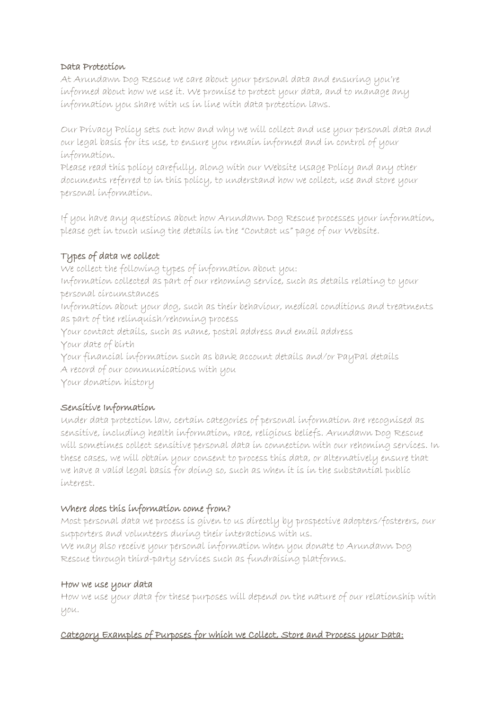### Data Protection

At Arundawn Dog Rescue we care about your personal data and ensuring you're informed about how we use it. We promise to protect your data, and to manage any information you share with us in line with data protection laws.

Our Privacy Policy sets out how and why we will collect and use your personal data and our legal basis for its use, to ensure you remain informed and in control of your information.

Please read this policy carefully, along with our Website Usage Policy and any other documents referred to in this policy, to understand how we collect, use and store your personal information.

If you have any questions about how Arundawn Dog Rescue processes your information, please get in touch using the details in the "Contact us" page of our Website.

# Types of data we collect

We collect the following types of information about you: Information collected as part of our rehoming service, such as details relating to your personal circumstances Information about your dog, such as their behaviour, medical conditions and treatments as part of the relinquish/rehoming process Your contact details, such as name, postal address and email address Your date of birth Your financial information such as bank account details and/or PayPal details A record of our communications with you

Your donation history

# Sensitive Information

Under data protection law, certain categories of personal information are recognised as sensitive, including health information, race, religious beliefs. Arundawn Dog Rescue will sometimes collect sensitive personal data in connection with our rehoming services. In these cases, we will obtain your consent to process this data, or alternatively ensure that we have a valid legal basis for doing so, such as when it is in the substantial public interest.

# Where does this information come from?

Most personal data we process is given to us directly by prospective adopters/fosterers, our supporters and volunteers during their interactions with us.

We may also receive your personal information when you donate to Arundawn Dog Rescue through third-party services such as fundraising platforms.

### How we use your data

How we use your data for these purposes will depend on the nature of our relationship with you.

# Category Examples of Purposes for which we Collect, Store and Process your Data: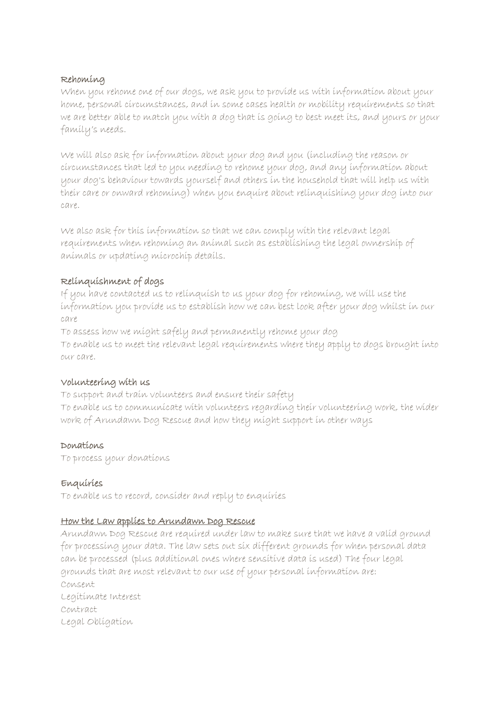### Rehoming

When you rehome one of our dogs, we ask you to provide us with information about your home, personal circumstances, and in some cases health or mobility requirements so that we are better able to match you with a dog that is going to best meet its, and yours or your family's needs.

We will also ask for information about your dog and you (including the reason or circumstances that led to you needing to rehome your dog, and any information about your dog's behaviour towards yourself and others in the household that will help us with their care or onward rehoming) when you enquire about relinquishing your dog into our care.

We also ask for this information so that we can comply with the relevant legal requirements when rehoming an animal such as establishing the legal ownership of animals or updating microchip details.

# Relinquishment of dogs

If you have contacted us to relinquish to us your dog for rehoming, we will use the information you provide us to establish how we can best look after your dog whilst in our care

To assess how we might safely and permanently rehome your dog To enable us to meet the relevant legal requirements where they apply to dogs brought into our care.

# Volunteering with us

To support and train volunteers and ensure their safety To enable us to communicate with volunteers regarding their volunteering work, the wider work of Arundawn Dog Rescue and how they might support in other ways

# Donations

To process your donations

# Enquiries

To enable us to record, consider and reply to enquiries

# How the Law applies to Arundawn Dog Rescue

Arundawn Dog Rescue are required under law to make sure that we have a valid ground for processing your data. The law sets out six different grounds for when personal data can be processed (plus additional ones where sensitive data is used) The four legal grounds that are most relevant to our use of your personal information are: Consent Legitimate Interest Contract Legal Obligation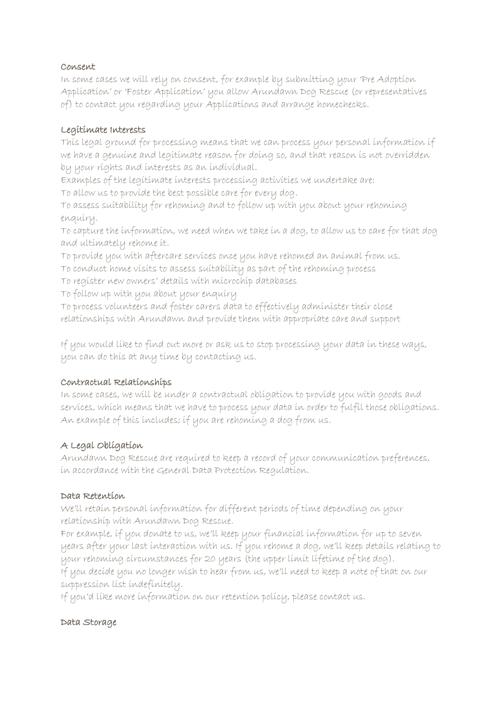### Consent

In some cases we will rely on consent, for example by submitting your 'Pre Adoption Application' or 'Foster Application' you allow Arundawn Dog Rescue (or representatives of) to contact you regarding your Applications and arrange homechecks.

### Legitimate Interests

This legal ground for processing means that we can process your personal information if we have a genuine and legitimate reason for doing so, and that reason is not overridden by your rights and interests as an individual.

Examples of the legitimate interests processing activities we undertake are:

To allow us to provide the best possible care for every dog.

To assess suitability for rehoming and to follow up with you about your rehoming enquiry.

To capture the information, we need when we take in a dog, to allow us to care for that dog and ultimately rehome it.

To provide you with aftercare services once you have rehomed an animal from us.

To conduct home visits to assess suitability as part of the rehoming process

To register new owners' details with microchip databases

To follow up with you about your enquiry

To process volunteers and foster carers data to effectively administer their close relationships with Arundawn and provide them with appropriate care and support

If you would like to find out more or ask us to stop processing your data in these ways, you can do this at any time by contacting us.

# Contractual Relationships

In some cases, we will be under a contractual obligation to provide you with goods and services, which means that we have to process your data in order to fulfil those obligations. An example of this includes; if you are rehoming a dog from us.

# A Legal Obligation

Arundawn Dog Rescue are required to keep a record of your communication preferences, in accordance with the General Data Protection Regulation.

### Data Retention

We'll retain personal information for different periods of time depending on your relationship with Arundawn Dog Rescue.

For example, if you donate to us, we'll keep your financial information for up to seven years after your last interaction with us. If you rehome a dog, we'll keep details relating to your rehoming circumstances for 20 years (the upper limit lifetime of the dog). If you decide you no longer wish to hear from us, we'll need to keep a note of that on our suppression list indefinitely.

If you'd like more information on our retention policy, please contact us.

# Data Storage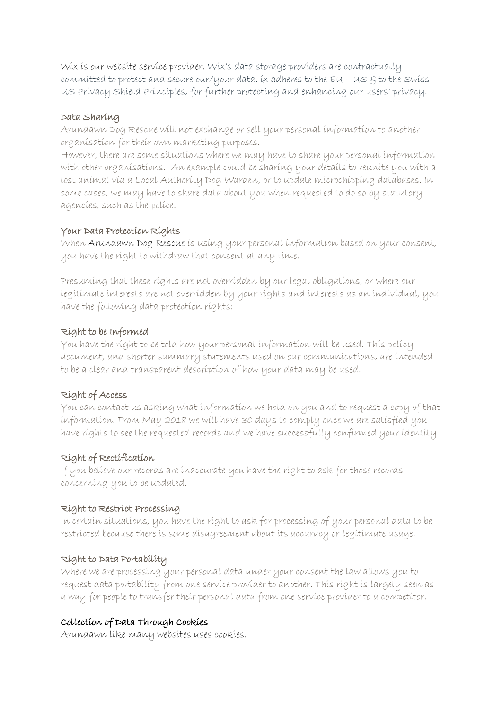Wix is our website service provider. Wix's data storage providers are contractually committed to protect and secure our/your data. ix adheres to the  $Eu - US$   $g$  to the Swiss-US Privacy Shield Principles, for further protecting and enhancing our users' privacy.

#### Data Sharing

Arundawn Dog Rescue will not exchange or sell your personal information to another organisation for their own marketing purposes.

However, there are some situations where we may have to share your personal information with other organisations. An example could be sharing your details to reunite you with a lost animal via a Local Authority Dog Warden, or to update microchipping databases. In some cases, we may have to share data about you when requested to do so by statutory agencies, such as the police.

### Your Data Protection Rights

When Arundawn Dog Rescue is using your personal information based on your consent, you have the right to withdraw that consent at any time.

Presuming that these rights are not overridden by our legal obligations, or where our legitimate interests are not overridden by your rights and interests as an individual, you have the following data protection rights:

# Right to be Informed

You have the right to be told how your personal information will be used. This policy document, and shorter summary statements used on our communications, are intended to be a clear and transparent description of how your data may be used.

# Right of Access

You can contact us asking what information we hold on you and to request a copy of that information. From May 2018 we will have 30 days to comply once we are satisfied you have rights to see the requested records and we have successfully confirmed your identity.

# Right of Rectification

If you believe our records are inaccurate you have the right to ask for those records concerning you to be updated.

### Right to Restrict Processing

In certain situations, you have the right to ask for processing of your personal data to be restricted because there is some disagreement about its accuracy or legitimate usage.

### Right to Data Portability

Where we are processing your personal data under your consent the law allows you to request data portability from one service provider to another. This right is largely seen as a way for people to transfer their personal data from one service provider to a competitor.

# Collection of Data Through Cookies

Arundawn like many websites uses cookies.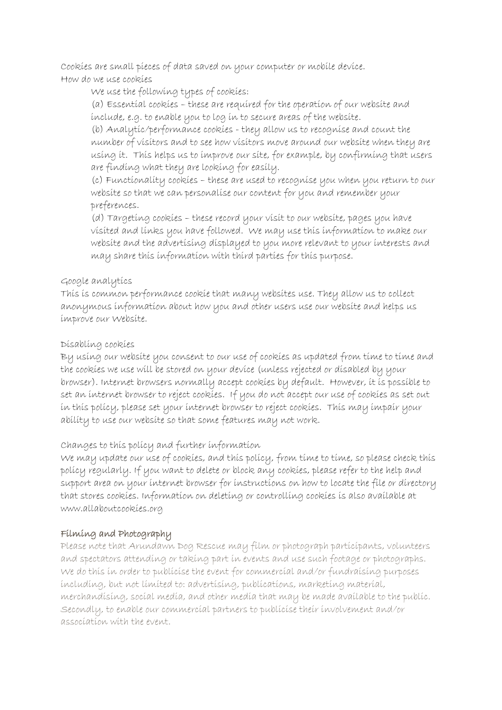Cookies are small pieces of data saved on your computer or mobile device. How do we use cookies

We use the following types of cookies:

(a) Essential cookies – these are required for the operation of our website and include, e.g. to enable you to log in to secure areas of the website.

(b) Analytic/performance cookies - they allow us to recognise and count the number of visitors and to see how visitors move around our website when they are using it. This helps us to improve our site, for example, by confirming that users are finding what they are looking for easily.

(c) Functionality cookies – these are used to recognise you when you return to our website so that we can personalise our content for you and remember your preferences.

(d) Targeting cookies – these record your visit to our website, pages you have visited and links you have followed. We may use this information to make our website and the advertising displayed to you more relevant to your interests and may share this information with third parties for this purpose.

# Google analytics

This is common performance cookie that many websites use. They allow us to collect anonymous information about how you and other users use our website and helps us improve our Website.

# Disabling cookies

By using our website you consent to our use of cookies as updated from time to time and the cookies we use will be stored on your device (unless rejected or disabled by your browser). Internet browsers normally accept cookies by default. However, it is possible to set an internet browser to reject cookies. If you do not accept our use of cookies as set out in this policy, please set your internet browser to reject cookies. This may impair your ability to use our website so that some features may not work.

# Changes to this policy and further information

We may update our use of cookies, and this policy, from time to time, so please check this policy regularly. If you want to delete or block any cookies, please refer to the help and support area on your internet browser for instructions on how to locate the file or directory that stores cookies. Information on deleting or controlling cookies is also available at [www.allaboutcookies.org](http://www.allaboutcookies.org/)

# Filming and Photography

Please note that Arundawn Dog Rescue may film or photograph participants, volunteers and spectators attending or taking part in events and use such footage or photographs. We do this in order to publicise the event for commercial and/or fundraising purposes including, but not limited to: advertising, publications, marketing material, merchandising, social media, and other media that may be made available to the public. Secondly, to enable our commercial partners to publicise their involvement and/or association with the event.